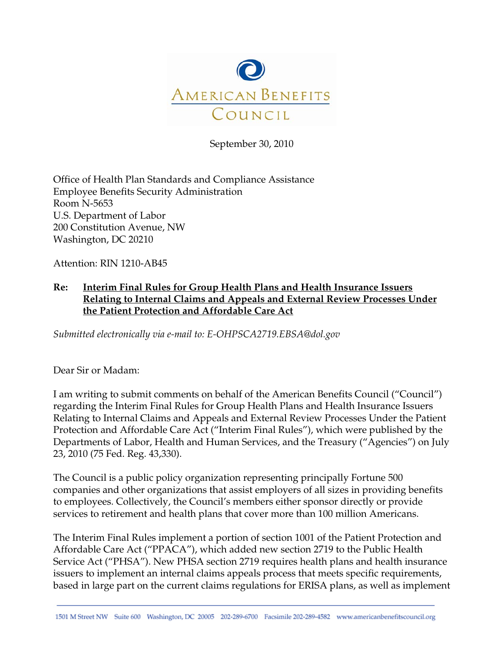

September 30, 2010

Office of Health Plan Standards and Compliance Assistance Employee Benefits Security Administration Room N-5653 U.S. Department of Labor 200 Constitution Avenue, NW Washington, DC 20210

Attention: RIN 1210-AB45

# **Re: Interim Final Rules for Group Health Plans and Health Insurance Issuers Relating to Internal Claims and Appeals and External Review Processes Under the Patient Protection and Affordable Care Act**

*Submitted electronically via e-mail to: E-OHPSCA2719.EBSA@dol.gov* 

Dear Sir or Madam:

I am writing to submit comments on behalf of the American Benefits Council ("Council") regarding the Interim Final Rules for Group Health Plans and Health Insurance Issuers Relating to Internal Claims and Appeals and External Review Processes Under the Patient Protection and Affordable Care Act ("Interim Final Rules"), which were published by the Departments of Labor, Health and Human Services, and the Treasury ("Agencies") on July 23, 2010 (75 Fed. Reg. 43,330).

The Council is a public policy organization representing principally Fortune 500 companies and other organizations that assist employers of all sizes in providing benefits to employees. Collectively, the Council's members either sponsor directly or provide services to retirement and health plans that cover more than 100 million Americans.

The Interim Final Rules implement a portion of section 1001 of the Patient Protection and Affordable Care Act ("PPACA"), which added new section 2719 to the Public Health Service Act ("PHSA"). New PHSA section 2719 requires health plans and health insurance issuers to implement an internal claims appeals process that meets specific requirements, based in large part on the current claims regulations for ERISA plans, as well as implement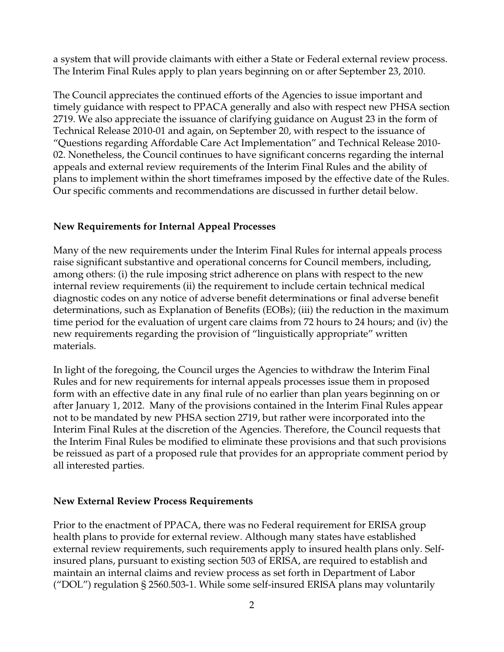a system that will provide claimants with either a State or Federal external review process. The Interim Final Rules apply to plan years beginning on or after September 23, 2010.

The Council appreciates the continued efforts of the Agencies to issue important and timely guidance with respect to PPACA generally and also with respect new PHSA section 2719. We also appreciate the issuance of clarifying guidance on August 23 in the form of Technical Release 2010-01 and again, on September 20, with respect to the issuance of "Questions regarding Affordable Care Act Implementation" and Technical Release 2010- 02. Nonetheless, the Council continues to have significant concerns regarding the internal appeals and external review requirements of the Interim Final Rules and the ability of plans to implement within the short timeframes imposed by the effective date of the Rules. Our specific comments and recommendations are discussed in further detail below.

# **New Requirements for Internal Appeal Processes**

Many of the new requirements under the Interim Final Rules for internal appeals process raise significant substantive and operational concerns for Council members, including, among others: (i) the rule imposing strict adherence on plans with respect to the new internal review requirements (ii) the requirement to include certain technical medical diagnostic codes on any notice of adverse benefit determinations or final adverse benefit determinations, such as Explanation of Benefits (EOBs); (iii) the reduction in the maximum time period for the evaluation of urgent care claims from 72 hours to 24 hours; and (iv) the new requirements regarding the provision of "linguistically appropriate" written materials.

In light of the foregoing, the Council urges the Agencies to withdraw the Interim Final Rules and for new requirements for internal appeals processes issue them in proposed form with an effective date in any final rule of no earlier than plan years beginning on or after January 1, 2012. Many of the provisions contained in the Interim Final Rules appear not to be mandated by new PHSA section 2719, but rather were incorporated into the Interim Final Rules at the discretion of the Agencies. Therefore, the Council requests that the Interim Final Rules be modified to eliminate these provisions and that such provisions be reissued as part of a proposed rule that provides for an appropriate comment period by all interested parties.

#### **New External Review Process Requirements**

Prior to the enactment of PPACA, there was no Federal requirement for ERISA group health plans to provide for external review. Although many states have established external review requirements, such requirements apply to insured health plans only. Selfinsured plans, pursuant to existing section 503 of ERISA, are required to establish and maintain an internal claims and review process as set forth in Department of Labor ("DOL") regulation § 2560.503-1. While some self-insured ERISA plans may voluntarily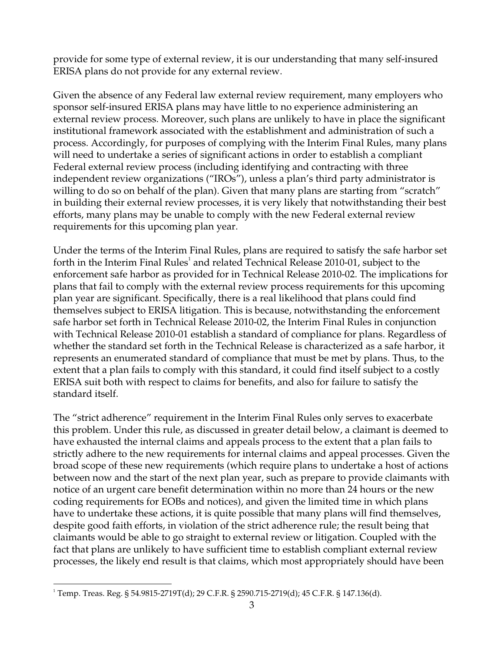provide for some type of external review, it is our understanding that many self-insured ERISA plans do not provide for any external review.

Given the absence of any Federal law external review requirement, many employers who sponsor self-insured ERISA plans may have little to no experience administering an external review process. Moreover, such plans are unlikely to have in place the significant institutional framework associated with the establishment and administration of such a process. Accordingly, for purposes of complying with the Interim Final Rules, many plans will need to undertake a series of significant actions in order to establish a compliant Federal external review process (including identifying and contracting with three independent review organizations ("IROs"), unless a plan's third party administrator is willing to do so on behalf of the plan). Given that many plans are starting from "scratch" in building their external review processes, it is very likely that notwithstanding their best efforts, many plans may be unable to comply with the new Federal external review requirements for this upcoming plan year.

Under the terms of the Interim Final Rules, plans are required to satisfy the safe harbor set forth in the Interim Final Rules<sup>1</sup> and related Technical Release 2010-01, subject to the enforcement safe harbor as provided for in Technical Release 2010-02. The implications for plans that fail to comply with the external review process requirements for this upcoming plan year are significant. Specifically, there is a real likelihood that plans could find themselves subject to ERISA litigation. This is because, notwithstanding the enforcement safe harbor set forth in Technical Release 2010-02, the Interim Final Rules in conjunction with Technical Release 2010-01 establish a standard of compliance for plans. Regardless of whether the standard set forth in the Technical Release is characterized as a safe harbor, it represents an enumerated standard of compliance that must be met by plans. Thus, to the extent that a plan fails to comply with this standard, it could find itself subject to a costly ERISA suit both with respect to claims for benefits, and also for failure to satisfy the standard itself.

The "strict adherence" requirement in the Interim Final Rules only serves to exacerbate this problem. Under this rule, as discussed in greater detail below, a claimant is deemed to have exhausted the internal claims and appeals process to the extent that a plan fails to strictly adhere to the new requirements for internal claims and appeal processes. Given the broad scope of these new requirements (which require plans to undertake a host of actions between now and the start of the next plan year, such as prepare to provide claimants with notice of an urgent care benefit determination within no more than 24 hours or the new coding requirements for EOBs and notices), and given the limited time in which plans have to undertake these actions, it is quite possible that many plans will find themselves, despite good faith efforts, in violation of the strict adherence rule; the result being that claimants would be able to go straight to external review or litigation. Coupled with the fact that plans are unlikely to have sufficient time to establish compliant external review processes, the likely end result is that claims, which most appropriately should have been

 $^1$  Temp. Treas. Reg. § 54.9815-2719T(d); 29 C.F.R. § 2590.715-2719(d); 45 C.F.R. § 147.136(d).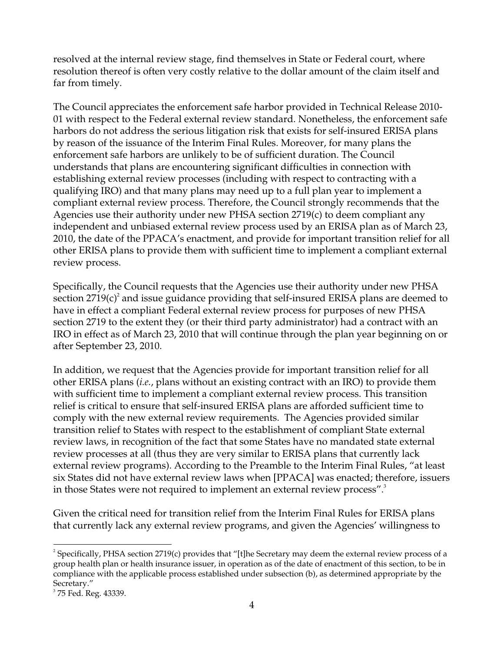resolved at the internal review stage, find themselves in State or Federal court, where resolution thereof is often very costly relative to the dollar amount of the claim itself and far from timely.

The Council appreciates the enforcement safe harbor provided in Technical Release 2010- 01 with respect to the Federal external review standard. Nonetheless, the enforcement safe harbors do not address the serious litigation risk that exists for self-insured ERISA plans by reason of the issuance of the Interim Final Rules. Moreover, for many plans the enforcement safe harbors are unlikely to be of sufficient duration. The Council understands that plans are encountering significant difficulties in connection with establishing external review processes (including with respect to contracting with a qualifying IRO) and that many plans may need up to a full plan year to implement a compliant external review process. Therefore, the Council strongly recommends that the Agencies use their authority under new PHSA section 2719(c) to deem compliant any independent and unbiased external review process used by an ERISA plan as of March 23, 2010, the date of the PPACA's enactment, and provide for important transition relief for all other ERISA plans to provide them with sufficient time to implement a compliant external review process.

Specifically, the Council requests that the Agencies use their authority under new PHSA section 2719 $(c)^2$  and issue guidance providing that self-insured ERISA plans are deemed to have in effect a compliant Federal external review process for purposes of new PHSA section 2719 to the extent they (or their third party administrator) had a contract with an IRO in effect as of March 23, 2010 that will continue through the plan year beginning on or after September 23, 2010.

In addition, we request that the Agencies provide for important transition relief for all other ERISA plans (*i.e.*, plans without an existing contract with an IRO) to provide them with sufficient time to implement a compliant external review process. This transition relief is critical to ensure that self-insured ERISA plans are afforded sufficient time to comply with the new external review requirements. The Agencies provided similar transition relief to States with respect to the establishment of compliant State external review laws, in recognition of the fact that some States have no mandated state external review processes at all (thus they are very similar to ERISA plans that currently lack external review programs). According to the Preamble to the Interim Final Rules, "at least six States did not have external review laws when [PPACA] was enacted; therefore, issuers in those States were not required to implement an external review process". $3$ 

Given the critical need for transition relief from the Interim Final Rules for ERISA plans that currently lack any external review programs, and given the Agencies' willingness to

 $2^2$  Specifically, PHSA section 2719(c) provides that "[t]he Secretary may deem the external review process of a group health plan or health insurance issuer, in operation as of the date of enactment of this section, to be in compliance with the applicable process established under subsection (b), as determined appropriate by the Secretary."

 $3$  75 Fed. Reg. 43339.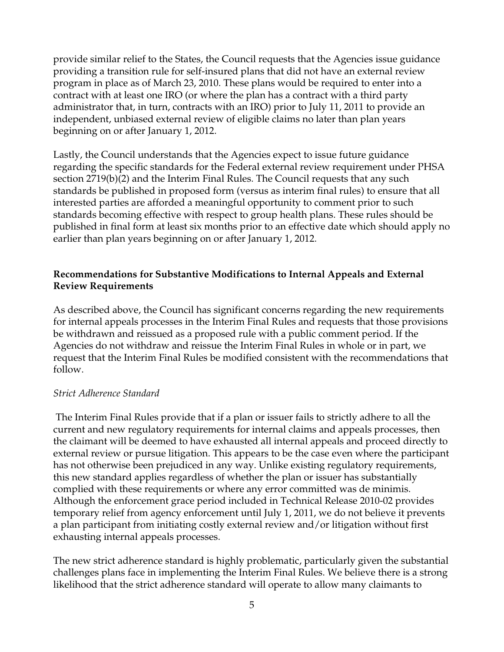provide similar relief to the States, the Council requests that the Agencies issue guidance providing a transition rule for self-insured plans that did not have an external review program in place as of March 23, 2010. These plans would be required to enter into a contract with at least one IRO (or where the plan has a contract with a third party administrator that, in turn, contracts with an IRO) prior to July 11, 2011 to provide an independent, unbiased external review of eligible claims no later than plan years beginning on or after January 1, 2012.

Lastly, the Council understands that the Agencies expect to issue future guidance regarding the specific standards for the Federal external review requirement under PHSA section 2719(b)(2) and the Interim Final Rules. The Council requests that any such standards be published in proposed form (versus as interim final rules) to ensure that all interested parties are afforded a meaningful opportunity to comment prior to such standards becoming effective with respect to group health plans. These rules should be published in final form at least six months prior to an effective date which should apply no earlier than plan years beginning on or after January 1, 2012.

## **Recommendations for Substantive Modifications to Internal Appeals and External Review Requirements**

As described above, the Council has significant concerns regarding the new requirements for internal appeals processes in the Interim Final Rules and requests that those provisions be withdrawn and reissued as a proposed rule with a public comment period. If the Agencies do not withdraw and reissue the Interim Final Rules in whole or in part, we request that the Interim Final Rules be modified consistent with the recommendations that follow.

#### *Strict Adherence Standard*

 The Interim Final Rules provide that if a plan or issuer fails to strictly adhere to all the current and new regulatory requirements for internal claims and appeals processes, then the claimant will be deemed to have exhausted all internal appeals and proceed directly to external review or pursue litigation. This appears to be the case even where the participant has not otherwise been prejudiced in any way. Unlike existing regulatory requirements, this new standard applies regardless of whether the plan or issuer has substantially complied with these requirements or where any error committed was de minimis. Although the enforcement grace period included in Technical Release 2010-02 provides temporary relief from agency enforcement until July 1, 2011, we do not believe it prevents a plan participant from initiating costly external review and/or litigation without first exhausting internal appeals processes.

The new strict adherence standard is highly problematic, particularly given the substantial challenges plans face in implementing the Interim Final Rules. We believe there is a strong likelihood that the strict adherence standard will operate to allow many claimants to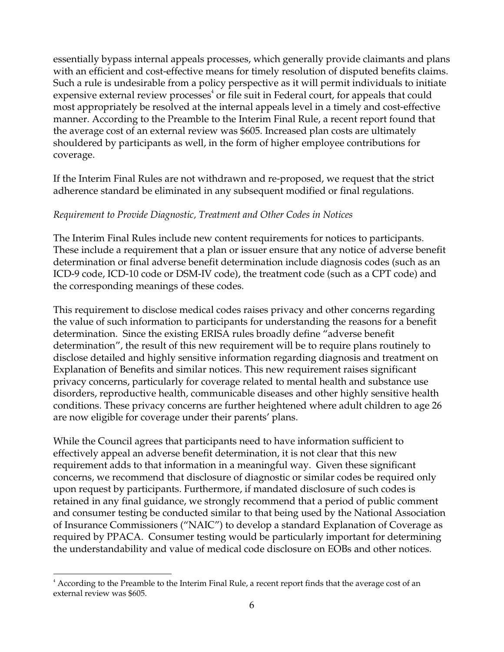essentially bypass internal appeals processes, which generally provide claimants and plans with an efficient and cost-effective means for timely resolution of disputed benefits claims. Such a rule is undesirable from a policy perspective as it will permit individuals to initiate expensive external review processes<sup>4</sup> or file suit in Federal court, for appeals that could most appropriately be resolved at the internal appeals level in a timely and cost-effective manner. According to the Preamble to the Interim Final Rule, a recent report found that the average cost of an external review was \$605. Increased plan costs are ultimately shouldered by participants as well, in the form of higher employee contributions for coverage.

If the Interim Final Rules are not withdrawn and re-proposed, we request that the strict adherence standard be eliminated in any subsequent modified or final regulations.

## *Requirement to Provide Diagnostic, Treatment and Other Codes in Notices*

The Interim Final Rules include new content requirements for notices to participants. These include a requirement that a plan or issuer ensure that any notice of adverse benefit determination or final adverse benefit determination include diagnosis codes (such as an ICD-9 code, ICD-10 code or DSM-IV code), the treatment code (such as a CPT code) and the corresponding meanings of these codes.

This requirement to disclose medical codes raises privacy and other concerns regarding the value of such information to participants for understanding the reasons for a benefit determination. Since the existing ERISA rules broadly define "adverse benefit determination", the result of this new requirement will be to require plans routinely to disclose detailed and highly sensitive information regarding diagnosis and treatment on Explanation of Benefits and similar notices. This new requirement raises significant privacy concerns, particularly for coverage related to mental health and substance use disorders, reproductive health, communicable diseases and other highly sensitive health conditions. These privacy concerns are further heightened where adult children to age 26 are now eligible for coverage under their parents' plans.

While the Council agrees that participants need to have information sufficient to effectively appeal an adverse benefit determination, it is not clear that this new requirement adds to that information in a meaningful way. Given these significant concerns, we recommend that disclosure of diagnostic or similar codes be required only upon request by participants. Furthermore, if mandated disclosure of such codes is retained in any final guidance, we strongly recommend that a period of public comment and consumer testing be conducted similar to that being used by the National Association of Insurance Commissioners ("NAIC") to develop a standard Explanation of Coverage as required by PPACA. Consumer testing would be particularly important for determining the understandability and value of medical code disclosure on EOBs and other notices.

<sup>4</sup> According to the Preamble to the Interim Final Rule, a recent report finds that the average cost of an external review was \$605.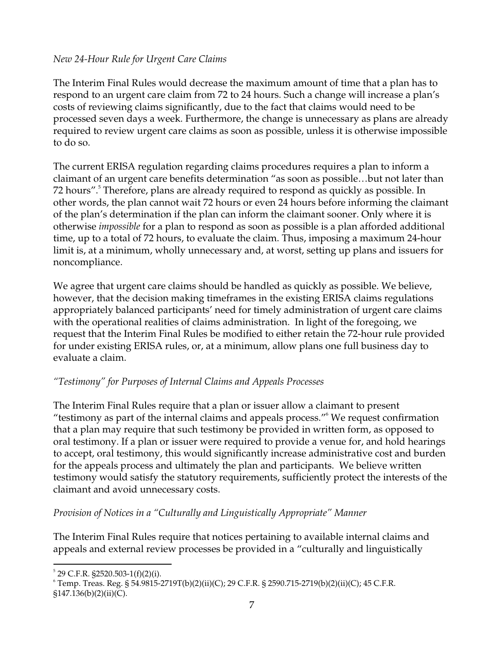## *New 24-Hour Rule for Urgent Care Claims*

The Interim Final Rules would decrease the maximum amount of time that a plan has to respond to an urgent care claim from 72 to 24 hours. Such a change will increase a plan's costs of reviewing claims significantly, due to the fact that claims would need to be processed seven days a week. Furthermore, the change is unnecessary as plans are already required to review urgent care claims as soon as possible, unless it is otherwise impossible to do so.

The current ERISA regulation regarding claims procedures requires a plan to inform a claimant of an urgent care benefits determination "as soon as possible…but not later than 72 hours".<sup>5</sup> Therefore, plans are already required to respond as quickly as possible. In other words, the plan cannot wait 72 hours or even 24 hours before informing the claimant of the plan's determination if the plan can inform the claimant sooner. Only where it is otherwise *impossible* for a plan to respond as soon as possible is a plan afforded additional time, up to a total of 72 hours, to evaluate the claim. Thus, imposing a maximum 24-hour limit is, at a minimum, wholly unnecessary and, at worst, setting up plans and issuers for noncompliance.

We agree that urgent care claims should be handled as quickly as possible. We believe, however, that the decision making timeframes in the existing ERISA claims regulations appropriately balanced participants' need for timely administration of urgent care claims with the operational realities of claims administration. In light of the foregoing, we request that the Interim Final Rules be modified to either retain the 72-hour rule provided for under existing ERISA rules, or, at a minimum, allow plans one full business day to evaluate a claim.

# *"Testimony" for Purposes of Internal Claims and Appeals Processes*

The Interim Final Rules require that a plan or issuer allow a claimant to present "testimony as part of the internal claims and appeals process."6 We request confirmation that a plan may require that such testimony be provided in written form, as opposed to oral testimony. If a plan or issuer were required to provide a venue for, and hold hearings to accept, oral testimony, this would significantly increase administrative cost and burden for the appeals process and ultimately the plan and participants. We believe written testimony would satisfy the statutory requirements, sufficiently protect the interests of the claimant and avoid unnecessary costs.

# *Provision of Notices in a "Culturally and Linguistically Appropriate" Manner*

The Interim Final Rules require that notices pertaining to available internal claims and appeals and external review processes be provided in a "culturally and linguistically

<sup>5</sup> 29 C.F.R. §2520.503-1(f)(2)(i).

<sup>6</sup> Temp. Treas. Reg. § 54.9815-2719T(b)(2)(ii)(C); 29 C.F.R. § 2590.715-2719(b)(2)(ii)(C); 45 C.F.R.

<sup>§147.136(</sup>b)(2)(ii)(C).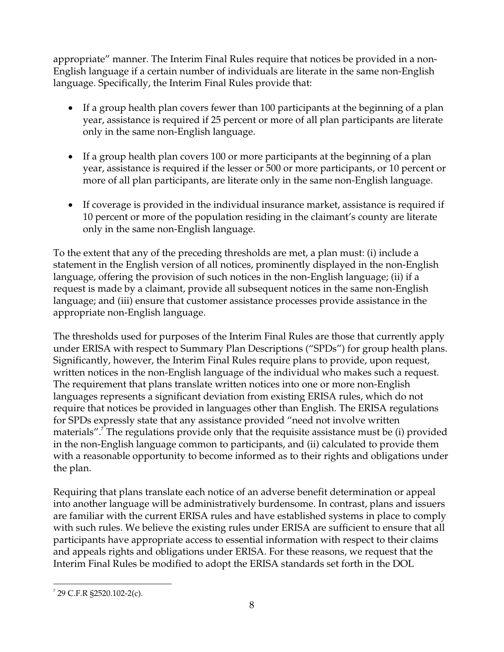appropriate" manner. The Interim Final Rules require that notices be provided in a non-English language if a certain number of individuals are literate in the same non-English language. Specifically, the Interim Final Rules provide that:

- If a group health plan covers fewer than 100 participants at the beginning of a plan year, assistance is required if 25 percent or more of all plan participants are literate only in the same non-English language.
- If a group health plan covers 100 or more participants at the beginning of a plan year, assistance is required if the lesser or 500 or more participants, or 10 percent or more of all plan participants, are literate only in the same non-English language.
- If coverage is provided in the individual insurance market, assistance is required if 10 percent or more of the population residing in the claimant's county are literate only in the same non-English language.

To the extent that any of the preceding thresholds are met, a plan must: (i) include a statement in the English version of all notices, prominently displayed in the non-English language, offering the provision of such notices in the non-English language; (ii) if a request is made by a claimant, provide all subsequent notices in the same non-English language; and (iii) ensure that customer assistance processes provide assistance in the appropriate non-English language.

The thresholds used for purposes of the Interim Final Rules are those that currently apply under ERISA with respect to Summary Plan Descriptions ("SPDs") for group health plans. Significantly, however, the Interim Final Rules require plans to provide, upon request, written notices in the non-English language of the individual who makes such a request. The requirement that plans translate written notices into one or more non-English languages represents a significant deviation from existing ERISA rules, which do not require that notices be provided in languages other than English. The ERISA regulations for SPDs expressly state that any assistance provided "need not involve written materials".<sup>7</sup> The regulations provide only that the requisite assistance must be (i) provided in the non-English language common to participants, and (ii) calculated to provide them with a reasonable opportunity to become informed as to their rights and obligations under the plan.

Requiring that plans translate each notice of an adverse benefit determination or appeal into another language will be administratively burdensome. In contrast, plans and issuers are familiar with the current ERISA rules and have established systems in place to comply with such rules. We believe the existing rules under ERISA are sufficient to ensure that all participants have appropriate access to essential information with respect to their claims and appeals rights and obligations under ERISA. For these reasons, we request that the Interim Final Rules be modified to adopt the ERISA standards set forth in the DOL

 $\overline{a}$  $7$  29 C.F.R §2520.102-2(c).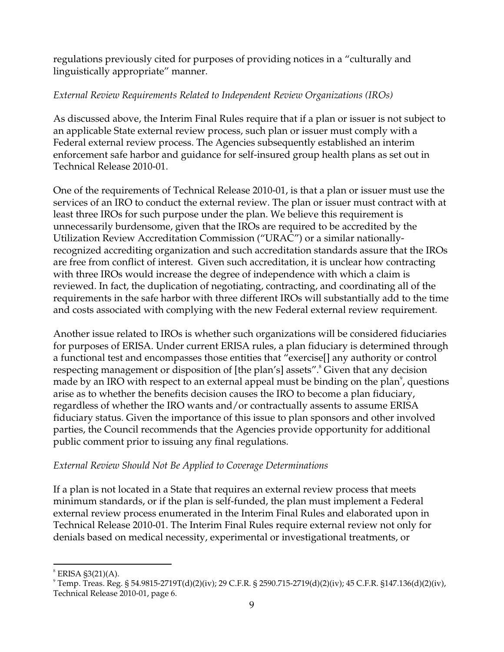regulations previously cited for purposes of providing notices in a "culturally and linguistically appropriate" manner.

# *External Review Requirements Related to Independent Review Organizations (IROs)*

As discussed above, the Interim Final Rules require that if a plan or issuer is not subject to an applicable State external review process, such plan or issuer must comply with a Federal external review process. The Agencies subsequently established an interim enforcement safe harbor and guidance for self-insured group health plans as set out in Technical Release 2010-01.

One of the requirements of Technical Release 2010-01, is that a plan or issuer must use the services of an IRO to conduct the external review. The plan or issuer must contract with at least three IROs for such purpose under the plan. We believe this requirement is unnecessarily burdensome, given that the IROs are required to be accredited by the Utilization Review Accreditation Commission ("URAC") or a similar nationallyrecognized accrediting organization and such accreditation standards assure that the IROs are free from conflict of interest. Given such accreditation, it is unclear how contracting with three IROs would increase the degree of independence with which a claim is reviewed. In fact, the duplication of negotiating, contracting, and coordinating all of the requirements in the safe harbor with three different IROs will substantially add to the time and costs associated with complying with the new Federal external review requirement.

Another issue related to IROs is whether such organizations will be considered fiduciaries for purposes of ERISA. Under current ERISA rules, a plan fiduciary is determined through a functional test and encompasses those entities that "exercise[] any authority or control respecting management or disposition of [the plan's] assets".<sup>8</sup> Given that any decision made by an IRO with respect to an external appeal must be binding on the plan $^{\circ}$ , questions arise as to whether the benefits decision causes the IRO to become a plan fiduciary, regardless of whether the IRO wants and/or contractually assents to assume ERISA fiduciary status. Given the importance of this issue to plan sponsors and other involved parties, the Council recommends that the Agencies provide opportunity for additional public comment prior to issuing any final regulations.

# *External Review Should Not Be Applied to Coverage Determinations*

If a plan is not located in a State that requires an external review process that meets minimum standards, or if the plan is self-funded, the plan must implement a Federal external review process enumerated in the Interim Final Rules and elaborated upon in Technical Release 2010-01. The Interim Final Rules require external review not only for denials based on medical necessity, experimental or investigational treatments, or

 $\overline{a}$ 8 ERISA §3(21)(A).

<sup>9</sup> Temp. Treas. Reg. § 54.9815-2719T(d)(2)(iv); 29 C.F.R. § 2590.715-2719(d)(2)(iv); 45 C.F.R. §147.136(d)(2)(iv), Technical Release 2010-01, page 6.